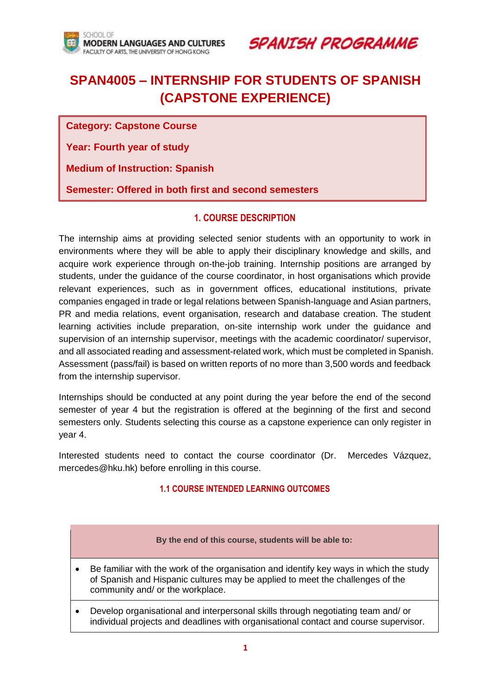

**SPANTSH PROGRAMME** 

# **SPAN4005 – INTERNSHIP FOR STUDENTS OF SPANISH (CAPSTONE EXPERIENCE)**

**Category: Capstone Course**

**Year: Fourth year of study**

**Medium of Instruction: Spanish**

**Semester: Offered in both first and second semesters**

## **1. COURSE DESCRIPTION**

The internship aims at providing selected senior students with an opportunity to work in environments where they will be able to apply their disciplinary knowledge and skills, and acquire work experience through on-the-job training. Internship positions are arranged by students, under the guidance of the course coordinator, in host organisations which provide relevant experiences, such as in government offices, educational institutions, private companies engaged in trade or legal relations between Spanish-language and Asian partners, PR and media relations, event organisation, research and database creation. The student learning activities include preparation, on-site internship work under the guidance and supervision of an internship supervisor, meetings with the academic coordinator/ supervisor, and all associated reading and assessment-related work, which must be completed in Spanish. Assessment (pass/fail) is based on written reports of no more than 3,500 words and feedback from the internship supervisor.

Internships should be conducted at any point during the year before the end of the second semester of year 4 but the registration is offered at the beginning of the first and second semesters only. Students selecting this course as a capstone experience can only register in year 4.

Interested students need to contact the course coordinator (Dr. Mercedes Vázquez, mercedes@hku.hk) before enrolling in this course.

### **1.1 COURSE INTENDED LEARNING OUTCOMES**

|           | By the end of this course, students will be able to:                                                                                                                                                        |
|-----------|-------------------------------------------------------------------------------------------------------------------------------------------------------------------------------------------------------------|
| $\bullet$ | Be familiar with the work of the organisation and identify key ways in which the study<br>of Spanish and Hispanic cultures may be applied to meet the challenges of the<br>community and/ or the workplace. |
| $\bullet$ | Develop organisational and interpersonal skills through negotiating team and/or<br>individual projects and deadlines with organisational contact and course supervisor.                                     |